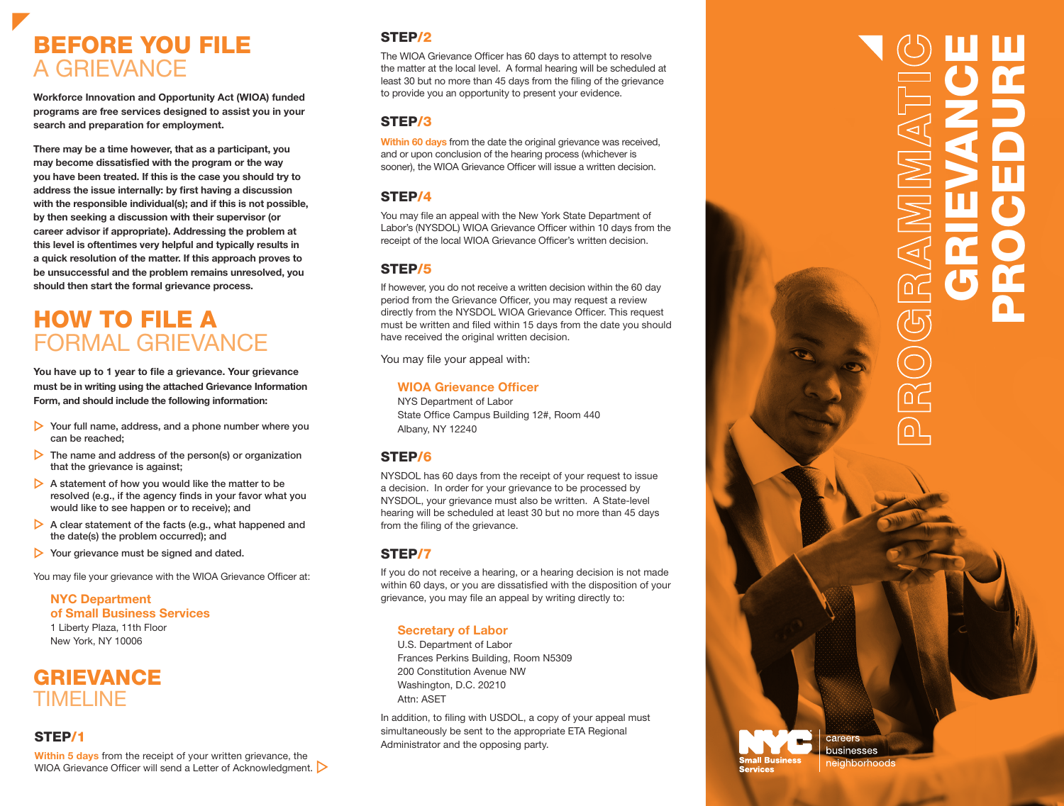# BEFORE YOU FILE A GRIEVANCE

**Workforce Innovation and Opportunity Act (WIOA) funded programs are free services designed to assist you in your search and preparation for employment.**

**There may be a time however, that as a participant, you may become dissatisfied with the program or the way you have been treated. If this is the case you should try to address the issue internally: by first having a discussion with the responsible individual(s); and if this is not possible, by then seeking a discussion with their supervisor (or career advisor if appropriate). Addressing the problem at this level is oftentimes very helpful and typically results in a quick resolution of the matter. If this approach proves to be unsuccessful and the problem remains unresolved, you should then start the formal grievance process.**

# HOW TO FILE A FORMAL GRIEVANCE

**You have up to 1 year to file a grievance. Your grievance must be in writing using the attached Grievance Information Form, and should include the following information:**

- Your full name, address, and a phone number where you can be reached;
- $\triangleright$  The name and address of the person(s) or organization that the grievance is against;
- $\triangleright$  A statement of how you would like the matter to be resolved (e.g., if the agency finds in your favor what you would like to see happen or to receive); and
- $\triangleright$  A clear statement of the facts (e.g., what happened and the date(s) the problem occurred); and
- Your grievance must be signed and dated.

You may file your grievance with the WIOA Grievance Officer at:

**NYC Department of Small Business Services** 1 Liberty Plaza, 11th Floor New York, NY 10006

# **GRIEVANCE** TIMELINE

#### STEP/1

**Within 5 days** from the receipt of your written grievance, the WIOA Grievance Officer will send a Letter of Acknowledgment.

# STEP/2

The WIOA Grievance Officer has 60 days to attempt to resolve the matter at the local level. A formal hearing will be scheduled at least 30 but no more than 45 days from the filing of the grievance to provide you an opportunity to present your evidence.

### STEP/3

**Within 60 days** from the date the original grievance was received. and or upon conclusion of the hearing process (whichever is sooner), the WIOA Grievance Officer will issue a written decision.

# STEP/4

You may file an appeal with the New York State Department of Labor's (NYSDOL) WIOA Grievance Officer within 10 days from the receipt of the local WIOA Grievance Officer's written decision.

#### STEP/5

If however, you do not receive a written decision within the 60 day period from the Grievance Officer, you may request a review directly from the NYSDOL WIOA Grievance Officer. This request must be written and filed within 15 days from the date you should have received the original written decision.

You may file your appeal with:

#### **WIOA Grievance Officer**

NYS Department of Labor State Office Campus Building 12#, Room 440 Albany, NY 12240

# STEP/6

NYSDOL has 60 days from the receipt of your request to issue a decision. In order for your grievance to be processed by NYSDOL, your grievance must also be written. A State-level hearing will be scheduled at least 30 but no more than 45 days from the filing of the grievance.

# STEP/7

If you do not receive a hearing, or a hearing decision is not made within 60 days, or you are dissatisfied with the disposition of your grievance, you may file an appeal by writing directly to:

#### **Secretary of Labor**

U.S. Department of Labor Frances Perkins Building, Room N5309 200 Constitution Avenue NW Washington, D.C. 20210 Attn: ASET

In addition, to filing with USDOL, a copy of your appeal must simultaneously be sent to the appropriate ETA Regional Administrator and the opposing party.

#### careers Ų. **Small Business Services**

businesses eighborhoods